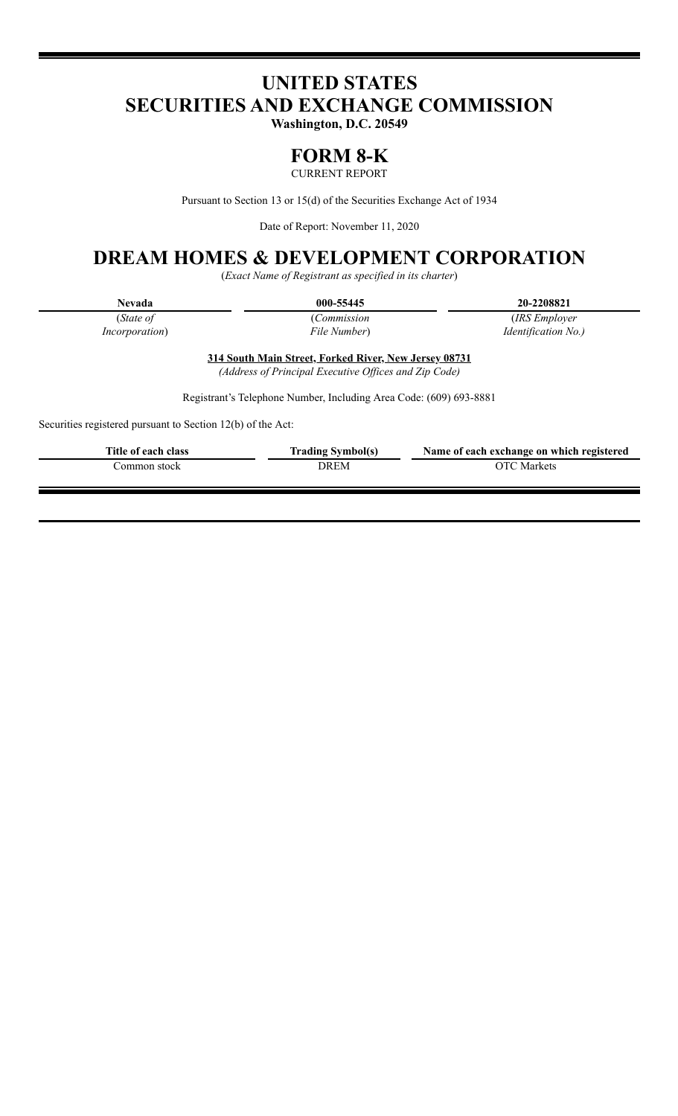# **UNITED STATES SECURITIES AND EXCHANGE COMMISSION**

**Washington, D.C. 20549**

## **FORM 8-K**

CURRENT REPORT

Pursuant to Section 13 or 15(d) of the Securities Exchange Act of 1934

Date of Report: November 11, 2020

## **DREAM HOMES & DEVELOPMENT CORPORATION**

(*Exact Name of Registrant as specified in its charter*)

| <b>Nevada</b> | 000-55445 | 20-2208821 |
|---------------|-----------|------------|

(*State of Incorporation*)

(*Commission File Number*)

(*IRS Employer Identification No.)*

**314 South Main Street, Forked River, New Jersey 08731** *(Address of Principal Executive Of ices and Zip Code)*

Registrant's Telephone Number, Including Area Code: (609) 693-8881

Securities registered pursuant to Section 12(b) of the Act:

| Title of each class | <b>Trading Symbol(s)</b> | Name of each exchange on which registered |
|---------------------|--------------------------|-------------------------------------------|
| Common stock-       | DREM                     | <b>OTC</b> Markets                        |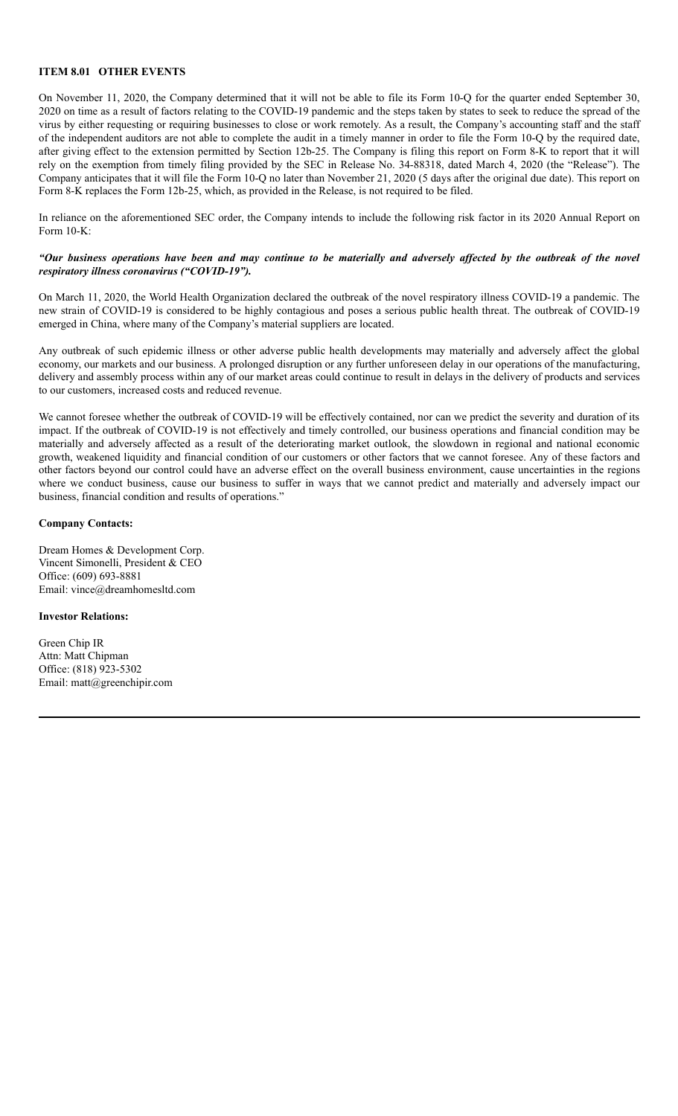#### **ITEM 8.01 OTHER EVENTS**

On November 11, 2020, the Company determined that it will not be able to file its Form 10-Q for the quarter ended September 30, 2020 on time as a result of factors relating to the COVID-19 pandemic and the steps taken by states to seek to reduce the spread of the virus by either requesting or requiring businesses to close or work remotely. As a result, the Company's accounting staff and the staff of the independent auditors are not able to complete the audit in a timely manner in order to file the Form 10-Q by the required date, after giving effect to the extension permitted by Section 12b-25. The Company is filing this report on Form 8-K to report that it will rely on the exemption from timely filing provided by the SEC in Release No. 34-88318, dated March 4, 2020 (the "Release"). The Company anticipates that it will file the Form 10-Q no later than November 21, 2020 (5 days after the original due date). This report on Form 8-K replaces the Form 12b-25, which, as provided in the Release, is not required to be filed.

In reliance on the aforementioned SEC order, the Company intends to include the following risk factor in its 2020 Annual Report on Form 10-K:

#### "Our business operations have been and may continue to be materially and adversely affected by the outbreak of the novel *respiratory illness coronavirus ("COVID-19").*

On March 11, 2020, the World Health Organization declared the outbreak of the novel respiratory illness COVID-19 a pandemic. The new strain of COVID-19 is considered to be highly contagious and poses a serious public health threat. The outbreak of COVID-19 emerged in China, where many of the Company's material suppliers are located.

Any outbreak of such epidemic illness or other adverse public health developments may materially and adversely affect the global economy, our markets and our business. A prolonged disruption or any further unforeseen delay in our operations of the manufacturing, delivery and assembly process within any of our market areas could continue to result in delays in the delivery of products and services to our customers, increased costs and reduced revenue.

We cannot foresee whether the outbreak of COVID-19 will be effectively contained, nor can we predict the severity and duration of its impact. If the outbreak of COVID-19 is not effectively and timely controlled, our business operations and financial condition may be materially and adversely affected as a result of the deteriorating market outlook, the slowdown in regional and national economic growth, weakened liquidity and financial condition of our customers or other factors that we cannot foresee. Any of these factors and other factors beyond our control could have an adverse effect on the overall business environment, cause uncertainties in the regions where we conduct business, cause our business to suffer in ways that we cannot predict and materially and adversely impact our business, financial condition and results of operations."

#### **Company Contacts:**

Dream Homes & Development Corp. Vincent Simonelli, President & CEO Office: (609) 693-8881 Email: vince@dreamhomesltd.com

#### **Investor Relations:**

Green Chip IR Attn: Matt Chipman Office: (818) 923-5302 Email: matt@greenchipir.com